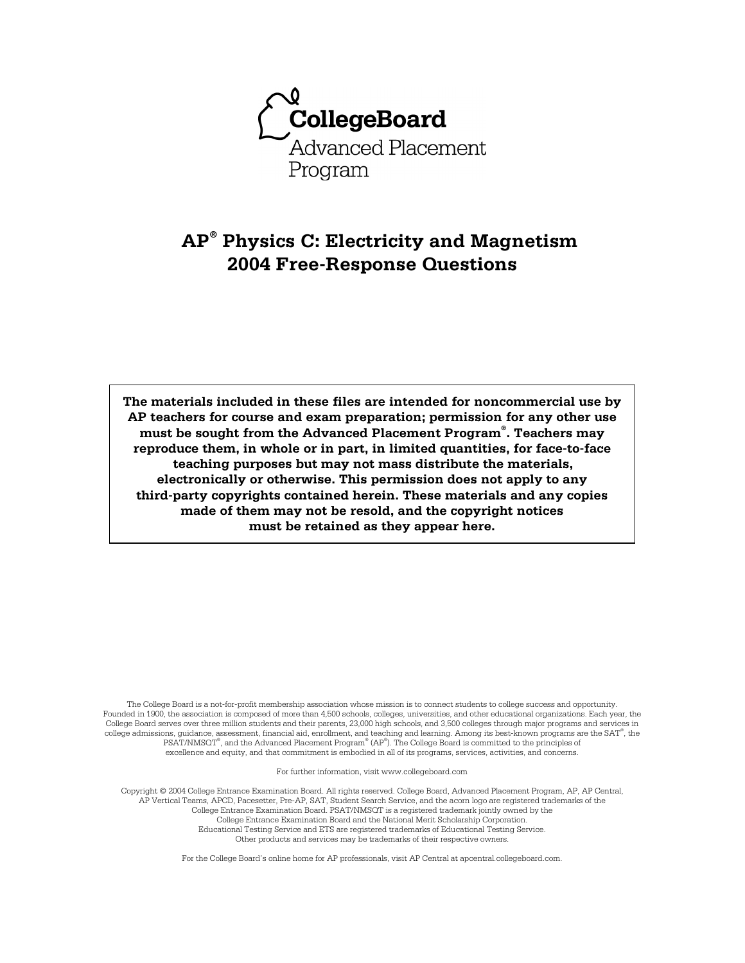

# **AP® Physics C: Electricity and Magnetism 2004 Free-Response Questions**

**The materials included in these files are intended for noncommercial use by AP teachers for course and exam preparation; permission for any other use must be sought from the Advanced Placement Program® . Teachers may reproduce them, in whole or in part, in limited quantities, for face-to-face teaching purposes but may not mass distribute the materials, electronically or otherwise. This permission does not apply to any third-party copyrights contained herein. These materials and any copies made of them may not be resold, and the copyright notices must be retained as they appear here.** 

The College Board is a not-for-profit membership association whose mission is to connect students to college success and opportunity. Founded in 1900, the association is composed of more than 4,500 schools, colleges, universities, and other educational organizations. Each year, the College Board serves over three million students and their parents, 23,000 high schools, and 3,500 colleges through major programs and services in college admissions, guidance, assessment, financial aid, enrollment, and teaching and learning. Among its best-known programs are the SAT® , the PSAT/NMSOT®, and the Advanced Placement Program® (AP®). The College Board is committed to the principles of excellence and equity, and that commitment is embodied in all of its programs, services, activities, and concerns.

For further information, visit www.collegeboard.com

Copyright © 2004 College Entrance Examination Board. All rights reserved. College Board, Advanced Placement Program, AP, AP Central, AP Vertical Teams, APCD, Pacesetter, Pre-AP, SAT, Student Search Service, and the acorn logo are registered trademarks of the College Entrance Examination Board. PSAT/NMSQT is a registered trademark jointly owned by the College Entrance Examination Board and the National Merit Scholarship Corporation. Educational Testing Service and ETS are registered trademarks of Educational Testing Service. Other products and services may be trademarks of their respective owners.

For the College Board's online home for AP professionals, visit AP Central at apcentral.collegeboard.com.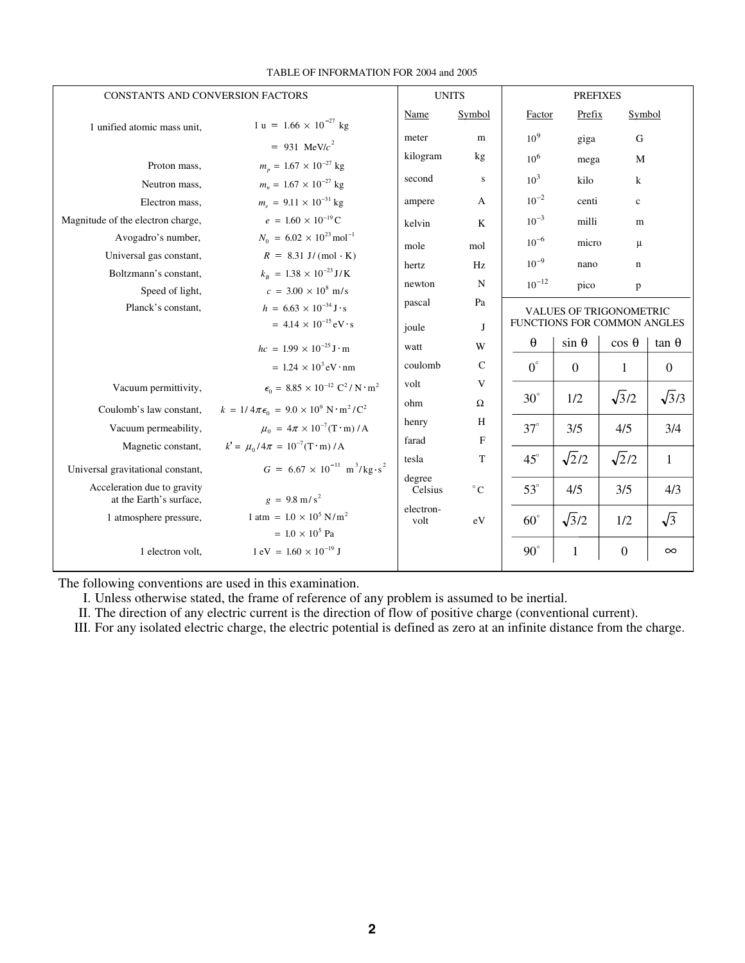| CONSTANTS AND CONVERSION FACTORS  |                                                                                | <b>UNITS</b>      |              | <b>PREFIXES</b>                |              |               |               |
|-----------------------------------|--------------------------------------------------------------------------------|-------------------|--------------|--------------------------------|--------------|---------------|---------------|
| 1 unified atomic mass unit,       | 1 u = $1.66 \times 10^{-27}$ kg                                                | Name              | Symbol       | Factor                         | Prefix       | Symbol        |               |
|                                   | $= 931 \text{ MeV}/c^2$                                                        | meter             | m            | 10 <sup>9</sup>                | giga         | G             |               |
|                                   |                                                                                | kilogram          | kg           | 10 <sup>6</sup>                | mega         | M             |               |
| Proton mass,                      | $m_p = 1.67 \times 10^{-27}$ kg                                                | second            | S            | 10 <sup>3</sup>                | kilo         | $\bf k$       |               |
| Neutron mass,                     | $m_n = 1.67 \times 10^{-27}$ kg                                                |                   |              |                                |              |               |               |
| Electron mass,                    | $m_e = 9.11 \times 10^{-31}$ kg                                                | ampere            | A            | $10^{-2}$                      | centi        | $\mathbf c$   |               |
| Magnitude of the electron charge, | $e = 1.60 \times 10^{-19}$ C                                                   | kelvin            | K            | $10^{-3}$                      | milli        | m             |               |
| Avogadro's number,                | $N_0 = 6.02 \times 10^{23}$ mol <sup>-1</sup>                                  | mole              | mol          | $10^{-6}$                      | micro        | $\mu$         |               |
| Universal gas constant,           | $R = 8.31$ J/(mol K)                                                           | hertz             | Hz           | $10^{-9}$                      | nano         | $\mathbf n$   |               |
| Boltzmann's constant,             | $k_B = 1.38 \times 10^{-23} \text{ J/K}$                                       |                   | N            | $10^{-12}$                     |              |               |               |
| Speed of light,                   | $c = 3.00 \times 10^8$ m/s                                                     | newton            |              |                                | pico         | p             |               |
| Planck's constant,                | $h = 6.63 \times 10^{-34} \,\text{J} \cdot \text{s}$                           | pascal            | Pa           | <b>VALUES OF TRIGONOMETRIC</b> |              |               |               |
|                                   | $= 4.14 \times 10^{-15}$ eV · s                                                | joule             | J            | FUNCTIONS FOR COMMON ANGLES    |              |               |               |
|                                   | $hc = 1.99 \times 10^{-25}$ J · m                                              | watt              | W            | θ                              | $sin \theta$ | $\cos \theta$ | $\tan \theta$ |
|                                   | $= 1.24 \times 10^3$ eV · nm                                                   | coulomb           | $\mathbf C$  | $0^{\circ}$                    | $\mathbf{0}$ | $\mathbf{1}$  | $\mathbf{0}$  |
| Vacuum permittivity,              | $\epsilon_0 = 8.85 \times 10^{-12} \text{ C}^2/\text{N} \cdot \text{m}^2$      | volt              | V            |                                |              |               |               |
| Coulomb's law constant,           | $k = 1/4\pi\epsilon_0 = 9.0 \times 10^9 \text{ N} \cdot \text{m}^2/\text{C}^2$ | ohm               | $\Omega$     | $30^\circ$                     | 1/2          | $\sqrt{3}/2$  | $\sqrt{3}/3$  |
| Vacuum permeability,              | $\mu_0 = 4\pi \times 10^{-7} (\text{T} \cdot \text{m}) / \text{A}$             | henry             | H            | $37^\circ$                     | 3/5          | 4/5           | 3/4           |
| Magnetic constant,                | $k' = \mu_0 / 4\pi = 10^{-7} (\text{T} \cdot \text{m}) / \text{A}$             | farad             | F            |                                |              |               |               |
| Universal gravitational constant, | $G = 6.67 \times 10^{-11} \text{ m}^3/\text{kg} \cdot \text{s}^2$              | tesla             | T            | $45^\circ$                     | $\sqrt{2}/2$ | $\sqrt{2}/2$  | 1             |
| Acceleration due to gravity       |                                                                                | degree<br>Celsius | $^{\circ}$ C | $53^\circ$                     | 4/5          | 3/5           | 4/3           |
| at the Earth's surface,           | $g = 9.8$ m/s <sup>2</sup>                                                     |                   |              |                                |              |               |               |
| 1 atmosphere pressure,            | 1 atm = $1.0 \times 10^5$ N/m <sup>2</sup>                                     | electron-<br>volt | eV           | $60^\circ$                     | $\sqrt{3}/2$ | 1/2           | $\sqrt{3}$    |
|                                   | $= 1.0 \times 10^5$ Pa                                                         |                   |              |                                |              |               |               |
| 1 electron volt,                  | $1 \text{ eV} = 1.60 \times 10^{-19} \text{ J}$                                |                   |              | $90^\circ$                     | 1            | $\mathbf{0}$  | $\infty$      |

### TABLE OF INFORMATION FOR 2004 and 2005

The following conventions are used in this examination.

I. Unless otherwise stated, the frame of reference of any problem is assumed to be inertial.

II. The direction of any electric current is the direction of flow of positive charge (conventional current).

III. For any isolated electric charge, the electric potential is defined as zero at an infinite distance from the charge.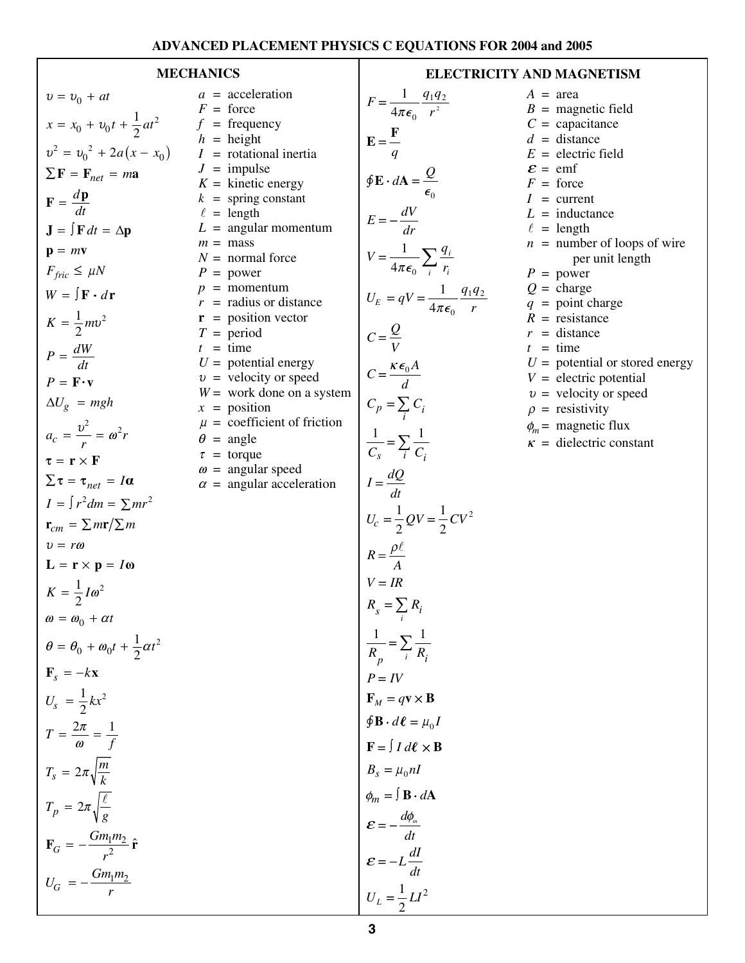## **ADVANCED PLACEMENT PHYSICS C EQUATIONS FOR 2004 and 2005**

| $v = v_0 + at$                                            | $a =$<br>$F =$          |
|-----------------------------------------------------------|-------------------------|
| $x = x_0 + v_0 t + \frac{1}{2} a t^2$                     | $f =$                   |
| $v^2 = v_0^2 + 2a(x - x_0)$                               | $h =$<br>$I =$          |
| $\sum \mathbf{F} = \mathbf{F}_{net} = m\mathbf{a}$        | $J =$<br>$K =$          |
| $\mathbf{F} = \frac{d\mathbf{p}}{dt}$                     | $k =$<br>$\ell =$       |
| $\mathbf{J} = \int \mathbf{F} dt = \Delta \mathbf{p}$     | $L =$                   |
| $\mathbf{p} = m\mathbf{v}$                                | $m =$<br>$N =$          |
| $F_{fric} \leq \mu N$                                     | $P =$                   |
| $W = \int \mathbf{F} \cdot d\mathbf{r}$                   | $p =$<br>$r =$          |
| $K=\frac{1}{2}mv^2$                                       | $\mathbf{r}$ =<br>$T =$ |
| $P = \frac{dW}{dt}$                                       | $t =$<br>$U =$          |
| $P = \mathbf{F} \cdot \mathbf{v}$                         | $v =$                   |
| $\Delta U_g$ = mgh                                        | $W =$<br>$x =$          |
| $a_c = \frac{v^2}{r} = \omega^2 r$                        | $\mu =$<br>$\theta =$   |
| $\tau = \mathbf{r} \times \mathbf{F}$                     | $\tau =$<br>$\omega =$  |
| $\sum \tau = \tau_{net} = I\alpha$                        | $\alpha =$              |
| $I = \int r^2 dm = \sum mr^2$                             |                         |
| $\mathbf{r}_{cm} = \sum m \mathbf{r}/\sum m$              |                         |
| $v = r\omega$                                             |                         |
| $L = r \times p = I\omega$                                |                         |
| $K = \frac{1}{2}I\omega^2$                                |                         |
| $\omega = \omega_0 + \alpha t$                            |                         |
| $\theta = \theta_0 + \omega_0 t + \frac{1}{2} \alpha t^2$ |                         |
| $\mathbf{F}_s = -k\mathbf{x}$                             |                         |
| $U_s = \frac{1}{2}kx^2$                                   |                         |
| $T = \frac{2\pi}{\omega} = \frac{1}{f}$                   |                         |
| $T_s = 2\pi \sqrt{\frac{m}{k}}$                           |                         |
| $T_p = 2\pi \sqrt{\frac{\ell}{\sigma}}$                   |                         |
| $\mathbf{F}_G = -\frac{Gm_1m_2}{r^2}\,\hat{\mathbf{r}}$   |                         |
|                                                           |                         |
| $U_G = -\frac{Gm_1m_2}{r}$                                |                         |

| <i>a</i> = acceleration                                | $F = \frac{1}{4\pi\epsilon_0} \frac{q_1 q_2}{r^2}$                                                                                                                                                                                                                                                                                                                                                             |
|--------------------------------------------------------|----------------------------------------------------------------------------------------------------------------------------------------------------------------------------------------------------------------------------------------------------------------------------------------------------------------------------------------------------------------------------------------------------------------|
| $F =$ force<br>$f = \text{frequency}$                  |                                                                                                                                                                                                                                                                                                                                                                                                                |
| $h =$ height                                           |                                                                                                                                                                                                                                                                                                                                                                                                                |
| $I =$ rotational inertia                               | $\mathbf{E} = \frac{\mathbf{F}}{q}$                                                                                                                                                                                                                                                                                                                                                                            |
| $J =$ impulse                                          |                                                                                                                                                                                                                                                                                                                                                                                                                |
| $K =$ kinetic energy                                   | $\oint \mathbf{E} \cdot d\mathbf{A} = \frac{Q}{\epsilon_0}$                                                                                                                                                                                                                                                                                                                                                    |
| $k =$ spring constant                                  |                                                                                                                                                                                                                                                                                                                                                                                                                |
| $\ell =$ length                                        |                                                                                                                                                                                                                                                                                                                                                                                                                |
| $L =$ angular momentum                                 | $E = -\frac{dV}{dr}$                                                                                                                                                                                                                                                                                                                                                                                           |
| $m =$ mass                                             |                                                                                                                                                                                                                                                                                                                                                                                                                |
| $N =$ normal force                                     | $V = \frac{1}{4\pi\epsilon_0} \sum_i \frac{q_i}{r_i}$                                                                                                                                                                                                                                                                                                                                                          |
| $P = power$                                            |                                                                                                                                                                                                                                                                                                                                                                                                                |
| $p =$ momentum                                         | $U_E = qV = \frac{1}{4\pi\epsilon_0} \frac{q_1 q_2}{r}$                                                                                                                                                                                                                                                                                                                                                        |
| $r =$ radius or distance                               |                                                                                                                                                                                                                                                                                                                                                                                                                |
| $\mathbf{r}$ = position vector                         |                                                                                                                                                                                                                                                                                                                                                                                                                |
| $T = period$                                           | $C = \frac{Q}{V}$                                                                                                                                                                                                                                                                                                                                                                                              |
| $t = \text{time}$                                      |                                                                                                                                                                                                                                                                                                                                                                                                                |
| $U =$ potential energy                                 | $C = \frac{\kappa \epsilon_0 A}{d}$                                                                                                                                                                                                                                                                                                                                                                            |
| $v =$ velocity or speed<br>$W =$ work done on a system |                                                                                                                                                                                                                                                                                                                                                                                                                |
| $x =$ position                                         | $C_p = \sum_i C_i$                                                                                                                                                                                                                                                                                                                                                                                             |
| $\mu$ = coefficient of friction                        |                                                                                                                                                                                                                                                                                                                                                                                                                |
| $\theta$ = angle                                       |                                                                                                                                                                                                                                                                                                                                                                                                                |
| $\tau =$ torque                                        | $\frac{1}{C_s} = \sum_i \frac{1}{C_i}$                                                                                                                                                                                                                                                                                                                                                                         |
| $\omega$ = angular speed                               |                                                                                                                                                                                                                                                                                                                                                                                                                |
| $\alpha$ = angular acceleration                        | $I = \frac{dQ}{dt}$                                                                                                                                                                                                                                                                                                                                                                                            |
|                                                        |                                                                                                                                                                                                                                                                                                                                                                                                                |
|                                                        | $U_c = \frac{1}{2} QV = \frac{1}{2}CV^2$                                                                                                                                                                                                                                                                                                                                                                       |
|                                                        |                                                                                                                                                                                                                                                                                                                                                                                                                |
|                                                        |                                                                                                                                                                                                                                                                                                                                                                                                                |
|                                                        | $R = \frac{\rho \ell}{A}$                                                                                                                                                                                                                                                                                                                                                                                      |
|                                                        |                                                                                                                                                                                                                                                                                                                                                                                                                |
|                                                        |                                                                                                                                                                                                                                                                                                                                                                                                                |
|                                                        | $V = IR$<br>$R_s = \sum_i R_i$                                                                                                                                                                                                                                                                                                                                                                                 |
|                                                        |                                                                                                                                                                                                                                                                                                                                                                                                                |
|                                                        |                                                                                                                                                                                                                                                                                                                                                                                                                |
|                                                        |                                                                                                                                                                                                                                                                                                                                                                                                                |
|                                                        |                                                                                                                                                                                                                                                                                                                                                                                                                |
|                                                        |                                                                                                                                                                                                                                                                                                                                                                                                                |
|                                                        |                                                                                                                                                                                                                                                                                                                                                                                                                |
|                                                        |                                                                                                                                                                                                                                                                                                                                                                                                                |
|                                                        |                                                                                                                                                                                                                                                                                                                                                                                                                |
|                                                        |                                                                                                                                                                                                                                                                                                                                                                                                                |
|                                                        |                                                                                                                                                                                                                                                                                                                                                                                                                |
|                                                        | $rac{1}{R_p} = \sum_{i} \frac{1}{R_i}$<br>$P = IV$<br>$\mathbf{F}_M = q\mathbf{v} \times \mathbf{B}$<br>$\oint \mathbf{B} \cdot d\mathbf{\ell} = \mu_0 I$<br>$\mathbf{F} = \int I d\mathbf{\ell} \times \mathbf{B}$<br>$B_s = \mu_0 nI$<br>$\phi_m = \int \mathbf{B} \cdot d\mathbf{A}$<br>$\mathbf{\varepsilon} = -\frac{d\phi_m}{dt}$<br>$\mathbf{\varepsilon} = -L\frac{dI}{dt}$<br>$U_L = \frac{1}{2}LI^2$ |
|                                                        |                                                                                                                                                                                                                                                                                                                                                                                                                |
|                                                        |                                                                                                                                                                                                                                                                                                                                                                                                                |
|                                                        |                                                                                                                                                                                                                                                                                                                                                                                                                |
|                                                        |                                                                                                                                                                                                                                                                                                                                                                                                                |

**MECHANICS ELECTRICITY AND MAGNETISM**  $A = \text{area}$  $B =$  magnetic field  $C =$  capacitance  $d =$  distance

 $E =$  electric field<br> $E =$  emf

 $\mathcal{E} = \text{emf}$ <br> $F = \text{force}$ 

# *I* = current  $L = \text{inductance}$  $\ell$  = length<br>  $n$  = number of loops of wire per unit length

 $P = power$  $Q = \text{charge}$ 

$$
q = \text{point charge}
$$

 $R =$  resistance

 $r =$  distance  $t =$  time

 $U =$  potential or stored energy

$$
V =
$$
 potenian of stored energy  

$$
V =
$$
 electric potential

 $v =$  velocity or speed

 $\rho$  = resistivity

- $\phi_m$  = magnetic flux
- $\kappa$  = dielectric constant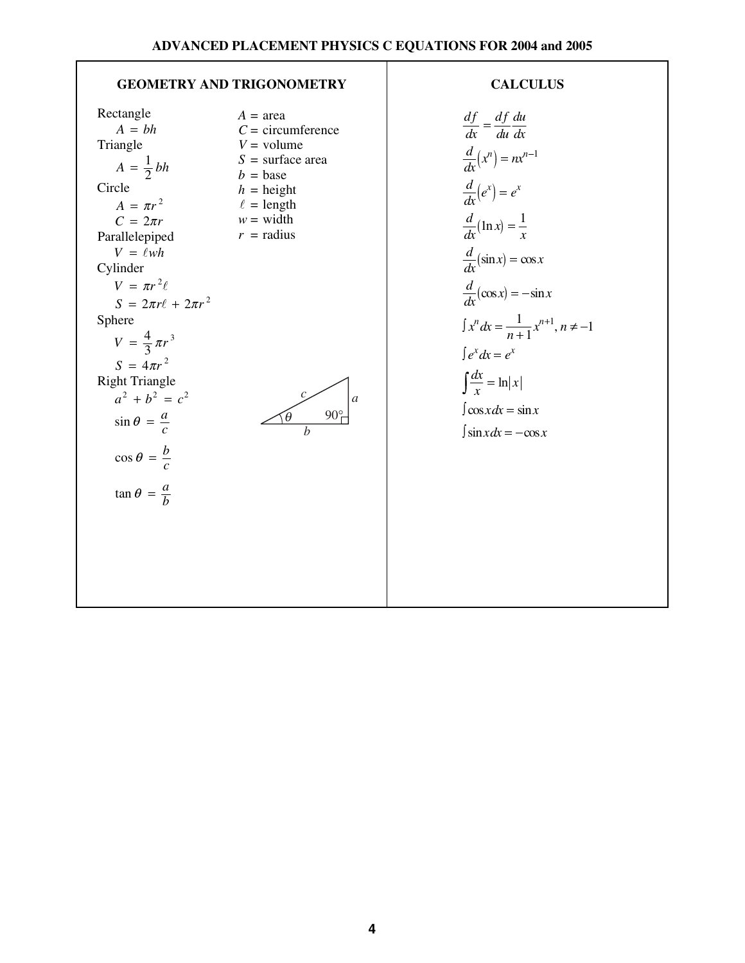## GEOMETRY AND TRIGONOMETRY RECORDS

Rectangle Triangle Circle Parallelepiped Cylinder Sphere Right Triangle  $A = bh$  $A = \frac{1}{2}bh$  $A = \pi r^2$  $C = 2\pi r$  $V = \ell wh$  $V = \pi r^2$  $S = 2\pi r \ell + 2\pi r^2$  $V = \frac{4}{3} \pi r$  $S = 4\pi r^2$  $a^2 + b^2 = c^2$ *a*  $\sin \theta = \frac{a}{c}$ *b*  $cos \theta = \frac{b}{c}$ *a*  $\tan \theta = \frac{a}{b}$ 2 3 3 p  $A = \text{area}$  $C =$  circumference  $V =$  volume *S* = surface area  $b = \text{base}$  $h =$  height  $\ell =$  length  $w = \text{width}$  $r =$  radius



$$
\frac{df}{dx} = \frac{df}{du} \frac{du}{dx}
$$
  
\n
$$
\frac{d}{dx}(x^n) = nx^{n-1}
$$
  
\n
$$
\frac{d}{dx}(e^x) = e^x
$$
  
\n
$$
\frac{d}{dx}(\ln x) = \frac{1}{x}
$$
  
\n
$$
\frac{d}{dx}(\sin x) = \cos x
$$
  
\n
$$
\frac{d}{dx}(\cos x) = -\sin x
$$
  
\n
$$
\int x^n dx = \frac{1}{n+1}x^{n+1}, n \neq -1
$$
  
\n
$$
\int e^x dx = e^x
$$
  
\n
$$
\int \frac{dx}{x} = \ln|x|
$$
  
\n
$$
\int \cos x dx = \sin x
$$
  
\n
$$
\int \sin x dx = -\cos x
$$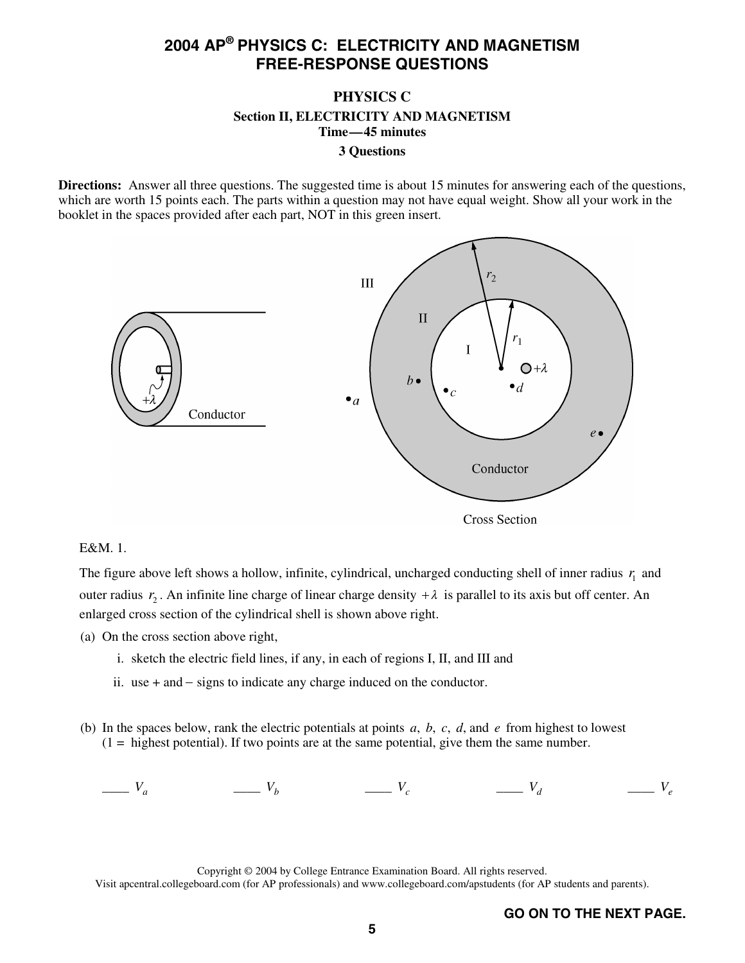## **PHYSICS C Section II, ELECTRICITY AND MAGNETISM Time—45 minutes 3 Questions**

**Directions:** Answer all three questions. The suggested time is about 15 minutes for answering each of the questions, which are worth 15 points each. The parts within a question may not have equal weight. Show all your work in the booklet in the spaces provided after each part, NOT in this green insert.



## E&M. 1.

The figure above left shows a hollow, infinite, cylindrical, uncharged conducting shell of inner radius  $r<sub>1</sub>$  and outer radius  $r_2$ . An infinite line charge of linear charge density  $+\lambda$  is parallel to its axis but off center. An enlarged cross section of the cylindrical shell is shown above right.

(a) On the cross section above right,

- i. sketch the electric field lines, if any, in each of regions I, II, and III and
- ii. use  $+$  and  $-$  signs to indicate any charge induced on the conductor.
- $-$  signs to indicate any charge induced on the conductor.<br>low, rank the electric potentials at points *a*, *b*, *c*, *d*, and tential). If two points are at the same potential, give them (b) In the spaces below, rank the electric potentials at points *a*, *b*, *c*, *d*, and *e* from highest to lowest  $(1 =$  highest potential). If two points are at the same potential, give them the same number.

 $V_a$   $\qquad \qquad V_b$   $\qquad \qquad V_c$   $\qquad \qquad V_d$   $\qquad \qquad V_e$ 

Copyright © 2004 by College Entrance Examination Board. All rights reserved. Visit apcentral.collegeboard.com (for AP professionals) and www.collegeboard.com/apstudents (for AP students and parents).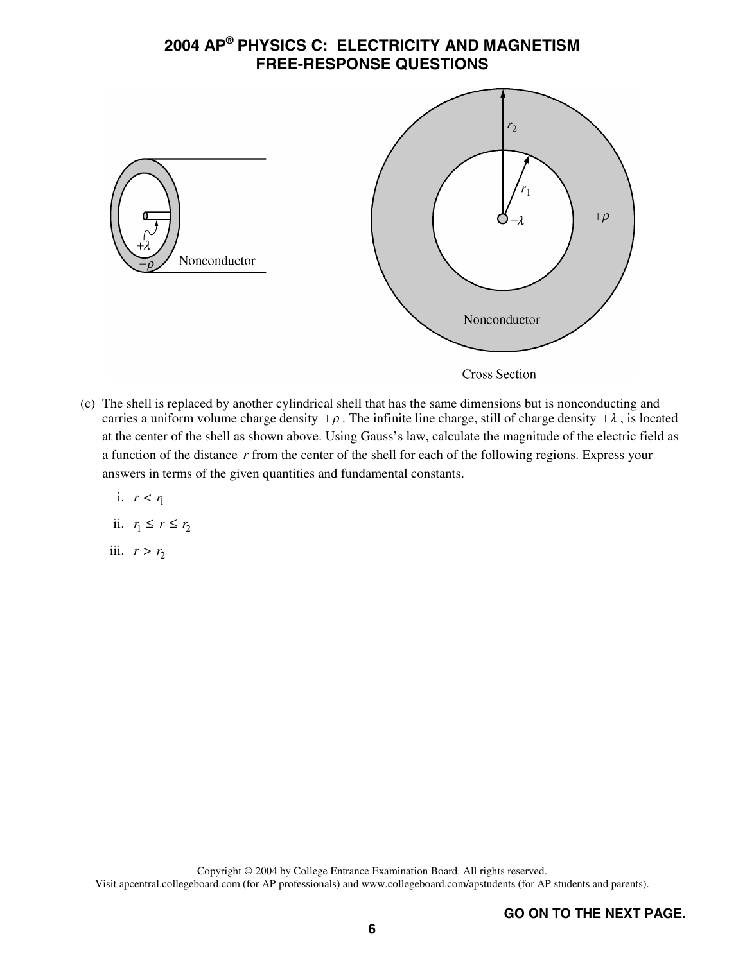

(c) The shell is replaced by another cylindrical shell that has the same dimensions but is nonconducting and carries a uniform volume charge density  $+\rho$ . The infinite line charge, still of charge density  $+\lambda$ , is located at the center of the shell as shown above. Using Gauss's law, calculate the magnitude of the electric field as a function of the distance *r* from the center of the shell for each of the following regions. Express your answers in terms of the given quantities and fundamental constants.

i. 
$$
r < r_1
$$
  
ii.  $r_1 \le r \le r_2$ 

iii.  $r > r_2$ 

Copyright © 2004 by College Entrance Examination Board. All rights reserved. Visit apcentral.collegeboard.com (for AP professionals) and www.collegeboard.com/apstudents (for AP students and parents).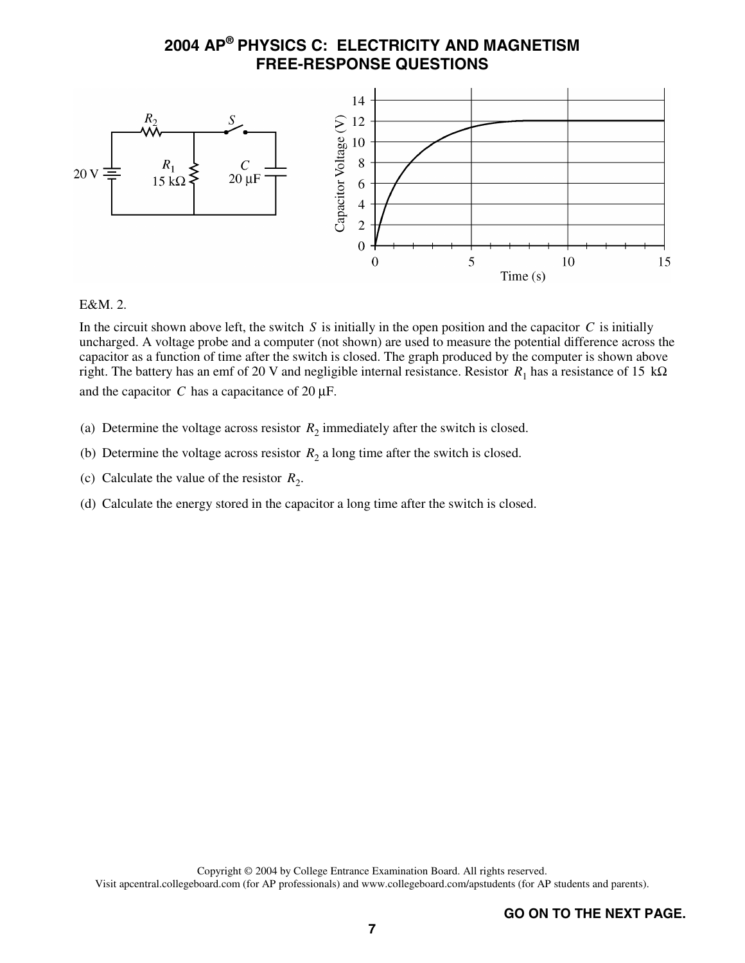

## E&M. 2.

In the circuit shown above left, the switch  $S$  is initially in the open position and the capacitor  $C$  is initially uncharged. A voltage probe and a computer (not shown) are used to measure the potential difference across the capacitor as a function of time after the switch is closed. The graph produced by the computer is shown above right. The battery has an emf of 20 V and negligible internal resistance. Resistor  $R_1$  has a resistance of 15 k $\Omega$ and the capacitor  $C$  has a capacitance of 20  $\mu$ F.

- (a) Determine the voltage across resistor  $R_2$  immediately after the switch is closed.
- (b) Determine the voltage across resistor  $R_2$  a long time after the switch is closed.
- (c) Calculate the value of the resistor  $R_2$ .
- (d) Calculate the energy stored in the capacitor a long time after the switch is closed.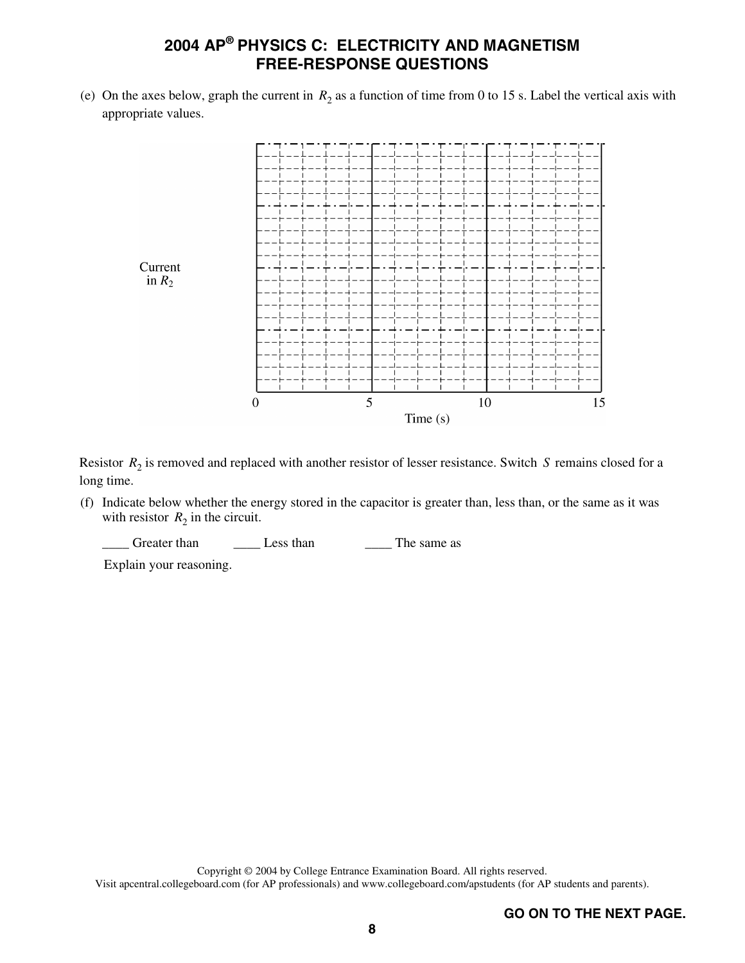(e) On the axes below, graph the current in  $R_2$  as a function of time from 0 to 15 s. Label the vertical axis with appropriate values.



Resistor  $R_2$  is removed and replaced with another resistor of lesser resistance. Switch *S* remains closed for a long time.

(f) Indicate below whether the energy stored in the capacitor is greater than, less than, or the same as it was with resistor  $R_2$  in the circuit.

Greater than Less than The same as

Explain your reasoning.